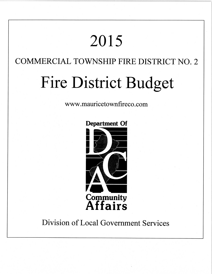# 2015

# COMMERCIAL TOWNSHIP FIRE DISTRICT NO. 2

# Fire District Budget

ww w. mauricetownfireco . com



# Division of Local Government Services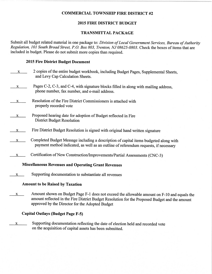#### COMMERCIAL TOWNSHIP FIRE DISTRICT #2

#### 2015 FIRE DISTRICT BUDGET

#### TRANSMITTAL PACKAGE

Submit all budget related material in one package to: Division of Local Government Services, Bureau of Authority Regulation, I0I South Broad Street, P.O. Box 803, Trenton, NJ 08625-0803. Check the boxes of items that are included in budget. Please do not submit more copies than required.

#### 2015 Fire District Budget Document

- $\underline{x}$  2 copies of the entire budget workbook, including Budget Pages, Supplemental Sheets, and Levy Cap Calculation Sheets.  $x \sim$  Pages C-2, C-3, and C-4, with signature blocks filled in along with mailing address, phone number, fax number, and e-mail address.  $x \sim R$ esolution of the Fire District Commissioners is attached with properly recorded vote x Proposed hearing date for adoption of Budget reflected in Fire District Budget Resolution  $x$  Fire District Budget Resolution is signed with original hand written signature  $x \sim$  Completed Budget Message including a description of capital items budgeted along with payment method indicated, as well as an outline of referendum requests, if necessary
	- $x \sim$  Certification of New Construction/Improvements/Partial Assessments (CNC-3)

#### Miscellaneous Revenues and Operating Grant Revenues

 $x$  Supporting documentation to substantiate all revenues

#### Amount to be Raised by Taxation

x Amount shown on Budget Page F-l does not exceed the allowable amount on F-l0 and equals the amount reflected in the Fire District Budget Resolution for the Proposed Budget and the amount approved by the Director for the Adopted Budget

#### Capital Outlays (Budget Page F-5)

 $x$  Supporting documentation reflecting the date of election held and recorded vote on the acquisition of capital assets has been submitted.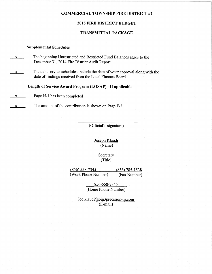#### COMMERCIAL TOWNSHIP FIRE DISTRICT #2

#### 2015 FIRE DISTRICT BUDGET

#### TRANSMITTAL PACKAGE

#### Supplemental Schedules

- $x$  The beginning Unrestricted and Restricted Fund Balances agree to the December 31,2014 Fire District Audit Report
- x The debt service schedules include the date of voter approval along with the date of findings received from the Local Finance Board

Length of Service Award Program (LOSAP) - If applicable

 $x \rightarrow \text{Page } N-1$  has been completed

 $x \rightarrow x$  The amount of the contribution is shown on Page F-3

(Official's signature)

Joseph Klaudi (Name)

> **Secretary** (Title)

(856) 558-7345 (856) 785-1538 (Work Phone Number) (Fax Number)

> 856-5s8-7345 \* (Home Phone Number)

Joe.klaudi@big3precision-nj .com (E-mail)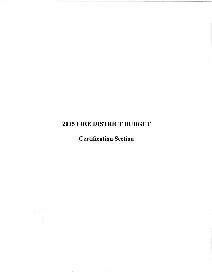# 2OI5 FIRE DISTRICT BUDGET

# Certifïcation Section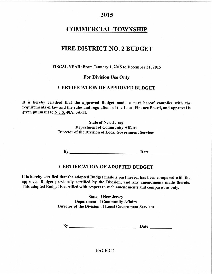# **COMMERCIAL TOWNSHIP**

# FIRE DISTRICT NO. 2 BUDGET

#### FISCAL YEAR: From January 1,2015 to December 31,2015

#### For Division Use Onlv

#### **CERTIFICATION OF APPROVED BUDGET**

It is hereby certified that the approved Budget made a part hereof complies with the requirements of law and the rules and regulations of the Local Finance Board, and approval is given pursuant to N.J.S.40A: 5A-11.

> State of New Jersey Department of Community Affairs Director of the Division of Local Government Services

By Date

#### CERTIFICATION OF ADOPTED BUDGET

It is hereby certified that the adopted Budget made a part hereof has been compared with the approved Budget previously certified by the Division, and any amendments made thereto. This adopted Budget is certified with respect to such amendments and comparisons only.

> State of New Jersey Department of Community Affairs Director of the Division of Local Govemment Services

By Date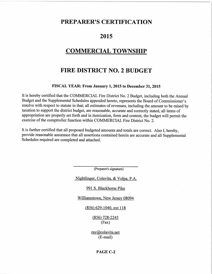## PREPARER'S CERTIFICATION

## 2015

# COMMERCIAL TOWNSHIP

# FIRE DISTRICT NO.2 BUDGET

#### FISCAL YEAR: From January 1,2015 to December 31,2015

It is hereby certified that the COMMERCIAL Fire District No. 2 Budget, including both the Annual Budget and the Supplemental Schedules appended hereto, represents the Board of Commissioner's resolve with respect to statute in that; all estimates of revenues, including the amount to be raised by taxation to support the district budget, are reasonable, accurate and correctly stated, all items of appropriation are properly set forth and in itemization, form and content, the budget will permit the exercise of the comptroller function within COMMERCIAL Fire District No. 2.

It is further certified that all proposed budgeted amounts and totals are correct. Also I, hereby, provide reasonable assurance that all assertions contained herein are accurate and all Supplemental Schedules required are completed and attached.

(Preparer's signature)

Nightlinger, Colavita, & Volpa, P.A.

991 S. Blackhorse Pike

Williamstown, New Jersey 08094

(85ô 629-1040. ext 118

 $(856)$  728-2245 (Fax)

ray@colavita.net (E-mail)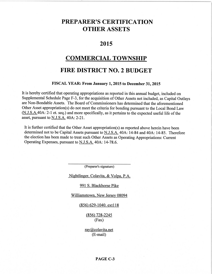# PREPARER'S CERTIFICATION OTHER ASSETS

### 2015

## COMMERCIAL TOWNSHIP

# FIRE DISTRICT NO. 2 BUDGET

#### FISCAL YEAR: From January 1, 2015 to December 31, 2015

It is hereby certified that operating appropriations as reported in this annual budget, included on Supplemental Schedule Page F-3, for the acquisition of Other Assets not included, as Capital Outlays are Non-Bondable Assets. The Board of Commissioners has determined that the aforementioned Other Asset appropriation(s) do not meet the criteria for bonding pursuant to the Local Bond Law (N.J.S.A.40A: 2-1 et. seq.) and more specifically, as it pertains to the expected useful life of the asset, pursuant to N.J.S.A. 40A: 2-21.

It is further certified that the Other Asset appropriation(s) as reported above herein have been determined not to be Capital Assets pursuant to N.J.S.A. 40A: 14-84 and 404: 14-85. Therefore the election has been made to treat such Other Assets as Operating Appropriations: Current Operating Expenses, pursuant to N.J.S.A. 40A: 14-78.6.

(Preparer's signature)

Nightlinger, Colavita, & Volpa, P.A.

#### 991 S. Blackhorse Pike

Williamstown. New Jersey 08094

(856) 629-1040. extl l8

 $(856)$  728-2245 (Fax)

ray@colavita.net (E-mail)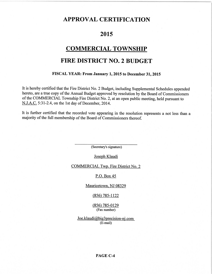## APPROVAL CERTIFICATION

# 2015

## **COMMERCIAL TOWNSHIP**

# FIRE DISTRICT NO.2 BUDGET

#### FISCAL YEAR: From January 1, 2015 to December 31, 2015

It is hereby certified that the Fire District No. 2 Budget, including Supplemental Schedules appended hereto, are a true copy of the Annual Budget approved by resolution by the Board of Commissioners of the COMMERCIAL Township Fire District No. 2, at an open public meeting, held pursuant to N.J.A.C. 5:31-2.4, on the lst day of December,2014.

It is further certified that the recorded vote appearing in the resolution represents a not less than <sup>a</sup> majority of the full membership of the Board of commissioners thereof.

(Secretary's signature)

Joseph Klaudi

COMMERCIAL Twp. Fire District No. 2

P.O. Box 45

Mauricetown. NJ 08329

 $(856)$  785-1122

(856) 785-0129 (Fax number)

 $Joe.klaudi@big3 precision-ni.com$ (E-mail)